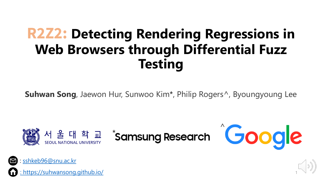# **R2Z2: Detecting Rendering Regressions in Web Browsers through Differential Fuzz Testing**

**Suhwan Song**, Jaewon Hur, Sunwoo Kim\*, Philip Rogers^, Byoungyoung Lee



1



https://suhwansong.github.io/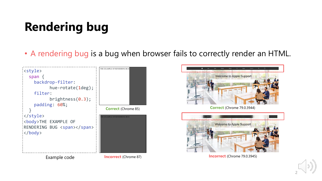# **Rendering bug**

• A rendering bug is a bug when browser fails to correctly render an HTML.





**Correct** (Chrome 79.0.3944)



**Incorrect** (Chrome 79.0.3945)

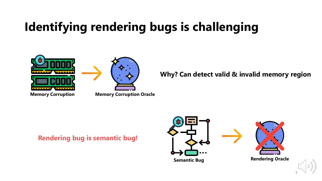# **Identifying rendering bugs is challenging**



**Why? Can detect valid & invalid memory region**

**Rendering bug is semantic bug!**





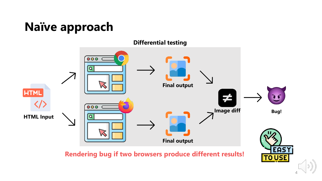# **Naïve approach**



**Rendering bug if two browsers produce different results!**

**EAS TO USE** 4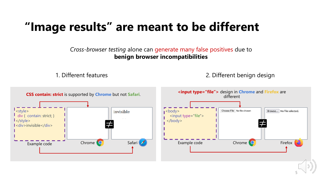# **"Image results" are meant to be different**

*Cross-browser testing* alone can generate many false positives due to **benign browser incompatibilities**

1. Different features 2. Different benign design

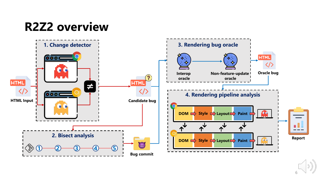# **R2Z2 overview**

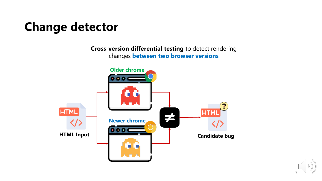# **Change detector**

**Cross-version differential testing** to detect rendering changes **between two browser versions**



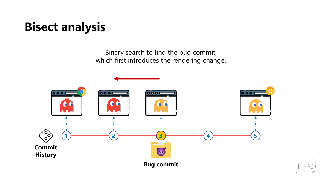# **Bisect analysis**

Binary search to find the bug commit, which first introduces the rendering change.

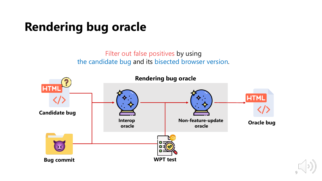# **Rendering bug oracle**

### Filter out false positives by using the candidate bug and its bisected browser version.

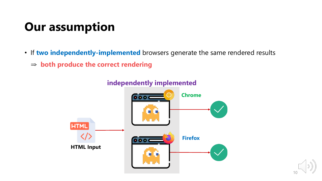# **Our assumption**

- If **two independently-implemented** browsers generate the same rendered results
	- ⇒ **both produce the correct rendering**



### **independently implemented**

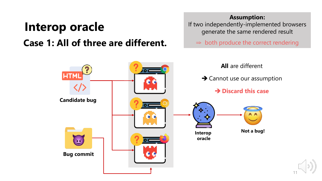# **Interop oracle Case 1: All of three are different.**

#### **Assumption:**

If two independently-implemented browsers generate the same rendered result

 $\Rightarrow$  both produce the correct rendering

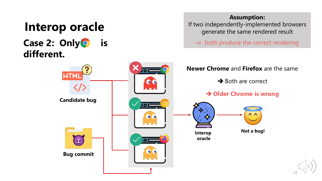# **Interop oracle Case 2: Only only** is **different.**

#### **Assumption:**

If two independently-implemented browsers generate the same rendered result

 $\Rightarrow$  both produce the correct rendering

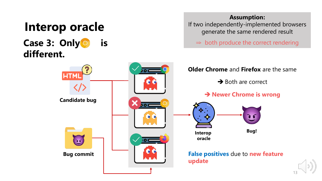# **Interop oracle Case 3: Only only is different.**

#### **Assumption:**

If two independently-implemented browsers generate the same rendered result

 $\Rightarrow$  both produce the correct rendering



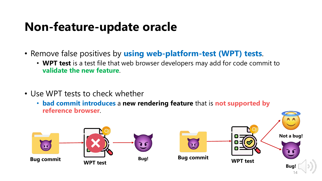### **Non-feature-update oracle**

- Remove false positives by **using web-platform-test (WPT) tests**.
	- **WPT test** is a test file that web browser developers may add for code commit to **validate the new feature**.
- Use WPT tests to check whether
	- **bad commit introduces** a **new rendering feature** that is **not supported by reference browser**.

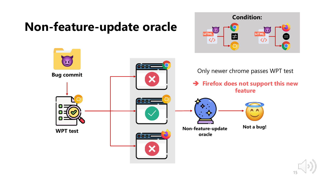### **Non-feature-update oracle**



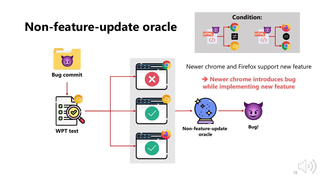### **Non-feature-update oracle**



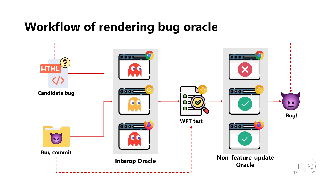# **Workflow of rendering bug oracle**

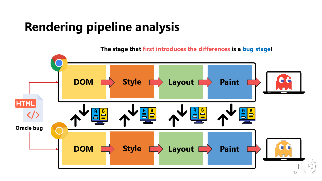# **Rendering pipeline analysis**

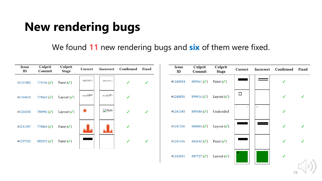# **New rendering bugs**

We found **11** new rendering bugs and **six** of them were fixed.

| <b>Issue</b><br>ID | Culprit<br>Commit       | <b>Culprit</b><br><b>Stage</b> | Correct                | <b>Incorrect</b>                                                                                                                                                                                                | <b>Confirmed</b> Fixed |              | <b>Issue</b><br>ID | Culprit<br>Commit       | Culprit<br><b>Stage</b> | Correct | <b>Incorrect</b> | Confirmed | Fixed        |
|--------------------|-------------------------|--------------------------------|------------------------|-----------------------------------------------------------------------------------------------------------------------------------------------------------------------------------------------------------------|------------------------|--------------|--------------------|-------------------------|-------------------------|---------|------------------|-----------|--------------|
| #1121082           | 775116 $({\checkmark})$ | Paint $(\checkmark)$           | $QY&1\leftarrow F[T:i$ | QY&]t <f[t:i< td=""><td>✓</td><td><math>\checkmark</math></td><td>#1240854</td><td>885961<math>({\checkmark})</math></td><td>Paint <math>(\checkmark)</math></td><td></td><td></td><td>√</td><td></td></f[t:i<> | ✓                      | $\checkmark$ | #1240854           | 885961 $({\checkmark})$ | Paint $(\checkmark)$    |         |                  | √         |              |
| #1164652           | 779663 $({\checkmark})$ | Layout $(\checkmark)$          | /7b RZ Blha0           | /7b`RZ "kSJha                                                                                                                                                                                                   | $\checkmark$           |              | #1240856           | 890916 ( $\checkmark$ ) | Layout $(\checkmark)$   | $\Box$  |                  | ✓         | $\checkmark$ |
| #1226558           | $780992 (\checkmark)$   | Layout $(\checkmark)$          | $\star$                | Subi                                                                                                                                                                                                            | $\checkmark$           | $\checkmark$ | #1241345           | 889344 $($              | Undecided               | $\Box$  | $\Box$           |           |              |
| #1231397           | 770064 $({\checkmark})$ | Paint $(\checkmark)$           |                        |                                                                                                                                                                                                                 | $\checkmark$           |              | #1241356           | 888805 ( $\checkmark$ ) | Layout $(\checkmark)$   |         |                  | ✓         | $\checkmark$ |
| #1237352           | 885372 $({\checkmark})$ | Paint $(\checkmark)$           |                        |                                                                                                                                                                                                                 | $\checkmark$           | $\checkmark$ | #1241436           | 885635 $({\checkmark})$ | Paint $(\checkmark)$    |         |                  | √         | ✓            |
|                    |                         |                                |                        |                                                                                                                                                                                                                 |                        |              | #1242851           | $887727 (\checkmark)$   | Layout $(\checkmark)$   |         |                  | ✓         |              |
|                    |                         |                                |                        |                                                                                                                                                                                                                 |                        |              |                    |                         |                         |         |                  |           | 19           |